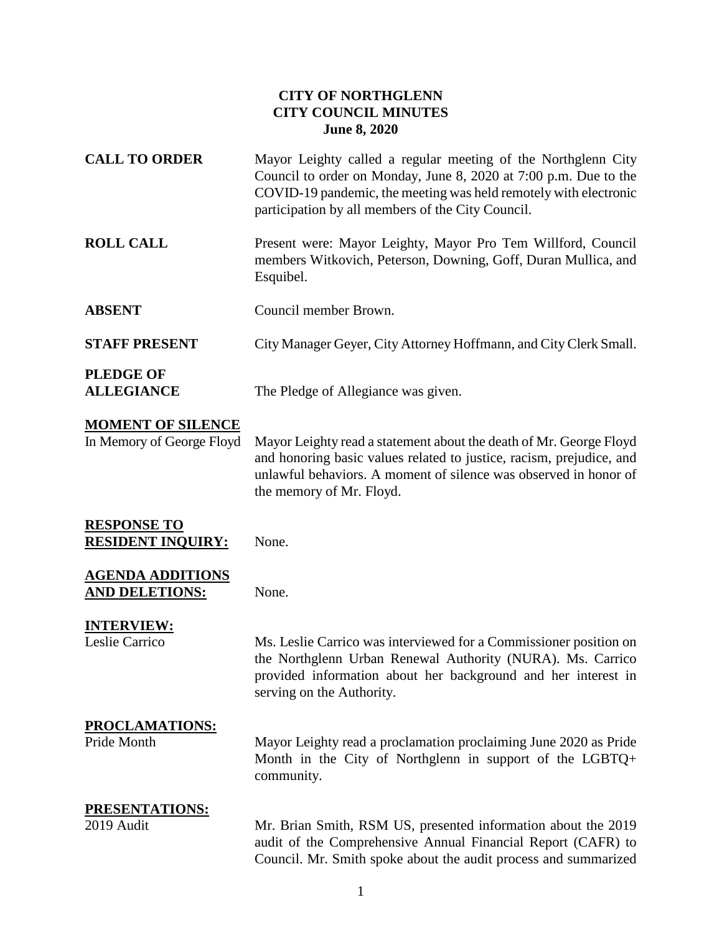#### **CITY OF NORTHGLENN CITY COUNCIL MINUTES June 8, 2020**

| <b>CALL TO ORDER</b>                                  | Mayor Leighty called a regular meeting of the Northglenn City<br>Council to order on Monday, June 8, 2020 at 7:00 p.m. Due to the<br>COVID-19 pandemic, the meeting was held remotely with electronic<br>participation by all members of the City Council. |
|-------------------------------------------------------|------------------------------------------------------------------------------------------------------------------------------------------------------------------------------------------------------------------------------------------------------------|
| <b>ROLL CALL</b>                                      | Present were: Mayor Leighty, Mayor Pro Tem Willford, Council<br>members Witkovich, Peterson, Downing, Goff, Duran Mullica, and<br>Esquibel.                                                                                                                |
| <b>ABSENT</b>                                         | Council member Brown.                                                                                                                                                                                                                                      |
| <b>STAFF PRESENT</b>                                  | City Manager Geyer, City Attorney Hoffmann, and City Clerk Small.                                                                                                                                                                                          |
| <b>PLEDGE OF</b><br><b>ALLEGIANCE</b>                 | The Pledge of Allegiance was given.                                                                                                                                                                                                                        |
| <b>MOMENT OF SILENCE</b><br>In Memory of George Floyd | Mayor Leighty read a statement about the death of Mr. George Floyd<br>and honoring basic values related to justice, racism, prejudice, and<br>unlawful behaviors. A moment of silence was observed in honor of<br>the memory of Mr. Floyd.                 |
| <b>RESPONSE TO</b><br><b>RESIDENT INQUIRY:</b>        | None.                                                                                                                                                                                                                                                      |
| <b>AGENDA ADDITIONS</b><br><b>AND DELETIONS:</b>      | None.                                                                                                                                                                                                                                                      |
| <b>INTERVIEW:</b><br>Leslie Carrico                   | Ms. Leslie Carrico was interviewed for a Commissioner position on<br>the Northglenn Urban Renewal Authority (NURA). Ms. Carrico<br>provided information about her background and her interest in<br>serving on the Authority.                              |
| PROCLAMATIONS:<br>Pride Month                         | Mayor Leighty read a proclamation proclaiming June 2020 as Pride<br>Month in the City of Northglenn in support of the LGBTQ+<br>community.                                                                                                                 |
| PRESENTATIONS:<br>2019 Audit                          | Mr. Brian Smith, RSM US, presented information about the 2019<br>audit of the Comprehensive Annual Financial Report (CAFR) to<br>Council. Mr. Smith spoke about the audit process and summarized                                                           |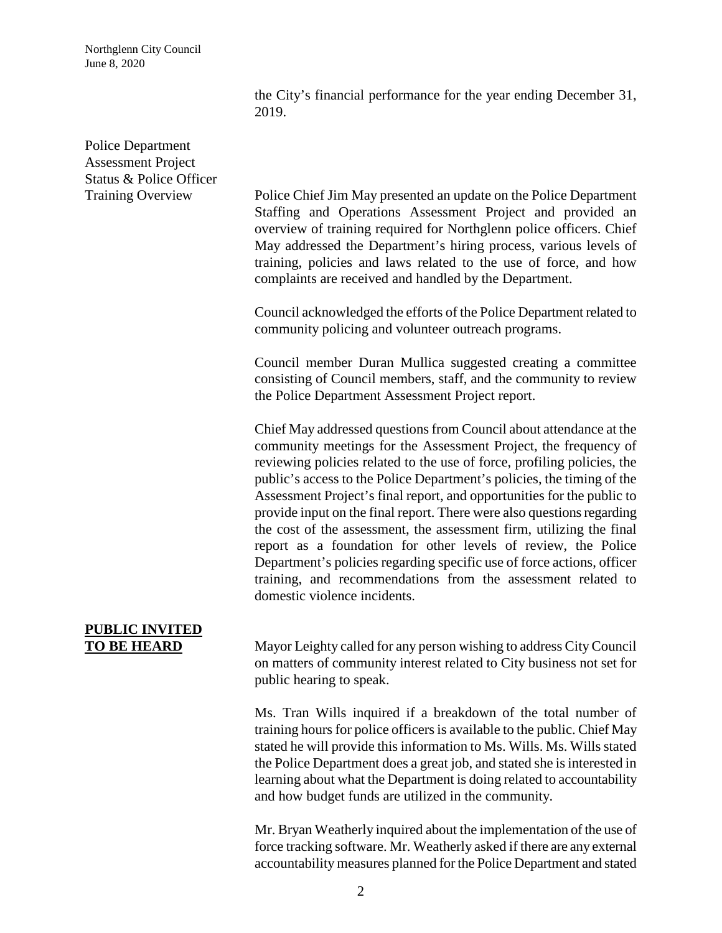Northglenn City Council June 8, 2020

> the City's financial performance for the year ending December 31, 2019.

## Police Department Assessment Project Status & Police Officer

Training Overview Police Chief Jim May presented an update on the Police Department Staffing and Operations Assessment Project and provided an overview of training required for Northglenn police officers. Chief May addressed the Department's hiring process, various levels of training, policies and laws related to the use of force, and how complaints are received and handled by the Department.

> Council acknowledged the efforts of the Police Department related to community policing and volunteer outreach programs.

> Council member Duran Mullica suggested creating a committee consisting of Council members, staff, and the community to review the Police Department Assessment Project report.

> Chief May addressed questionsfrom Council about attendance at the community meetings for the Assessment Project, the frequency of reviewing policies related to the use of force, profiling policies, the public's access to the Police Department's policies, the timing of the Assessment Project's final report, and opportunities for the public to provide input on the final report. There were also questions regarding the cost of the assessment, the assessment firm, utilizing the final report as a foundation for other levels of review, the Police Department's policies regarding specific use of force actions, officer training, and recommendations from the assessment related to domestic violence incidents.

# **PUBLIC INVITED**

**TO BE HEARD** Mayor Leighty called for any person wishing to address City Council on matters of community interest related to City business not set for public hearing to speak.

> Ms. Tran Wills inquired if a breakdown of the total number of training hours for police officers is available to the public. Chief May stated he will provide this information to Ms. Wills. Ms. Wills stated the Police Department does a great job, and stated she is interested in learning about what the Department is doing related to accountability and how budget funds are utilized in the community.

> Mr. Bryan Weatherly inquired about the implementation of the use of force tracking software. Mr. Weatherly asked if there are any external accountability measures planned for the Police Department and stated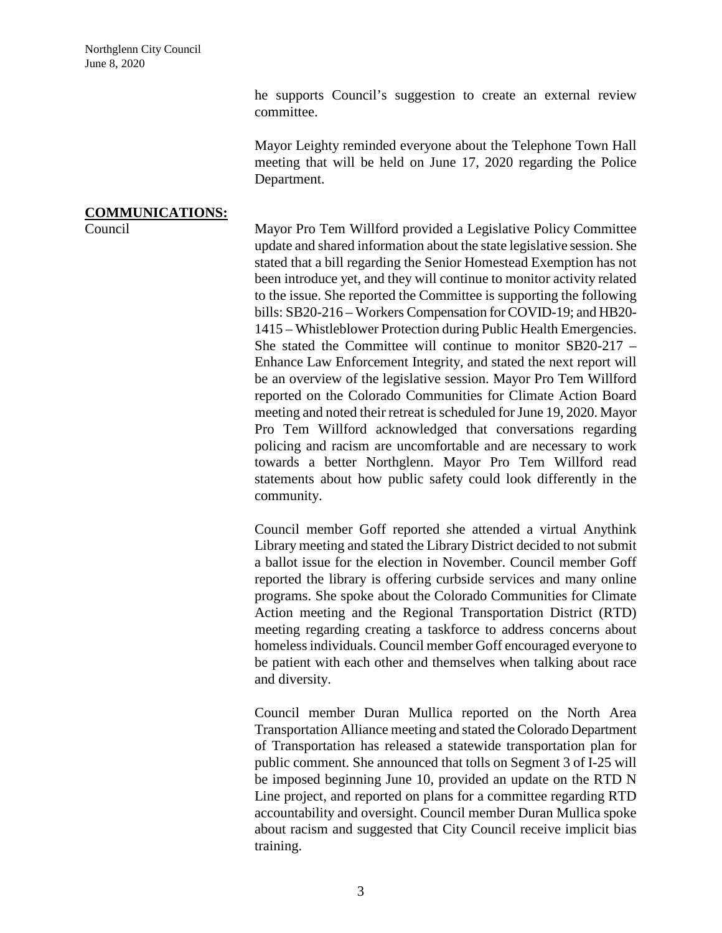he supports Council's suggestion to create an external review committee.

Mayor Leighty reminded everyone about the Telephone Town Hall meeting that will be held on June 17, 2020 regarding the Police Department.

## **COMMUNICATIONS:**

Council Mayor Pro Tem Willford provided a Legislative Policy Committee update and shared information about the state legislative session. She stated that a bill regarding the Senior Homestead Exemption has not been introduce yet, and they will continue to monitor activity related to the issue. She reported the Committee is supporting the following bills: SB20-216 – Workers Compensation for COVID-19; and HB20- 1415 – Whistleblower Protection during Public Health Emergencies. She stated the Committee will continue to monitor SB20-217 – Enhance Law Enforcement Integrity, and stated the next report will be an overview of the legislative session. Mayor Pro Tem Willford reported on the Colorado Communities for Climate Action Board meeting and noted their retreat isscheduled for June 19, 2020. Mayor Pro Tem Willford acknowledged that conversations regarding policing and racism are uncomfortable and are necessary to work towards a better Northglenn. Mayor Pro Tem Willford read statements about how public safety could look differently in the community.

> Council member Goff reported she attended a virtual Anythink Library meeting and stated the Library District decided to not submit a ballot issue for the election in November. Council member Goff reported the library is offering curbside services and many online programs. She spoke about the Colorado Communities for Climate Action meeting and the Regional Transportation District (RTD) meeting regarding creating a taskforce to address concerns about homelessindividuals. Council member Goff encouraged everyone to be patient with each other and themselves when talking about race and diversity.

> Council member Duran Mullica reported on the North Area Transportation Alliance meeting and stated the Colorado Department of Transportation has released a statewide transportation plan for public comment. She announced that tolls on Segment 3 of I-25 will be imposed beginning June 10, provided an update on the RTD N Line project, and reported on plans for a committee regarding RTD accountability and oversight. Council member Duran Mullica spoke about racism and suggested that City Council receive implicit bias training.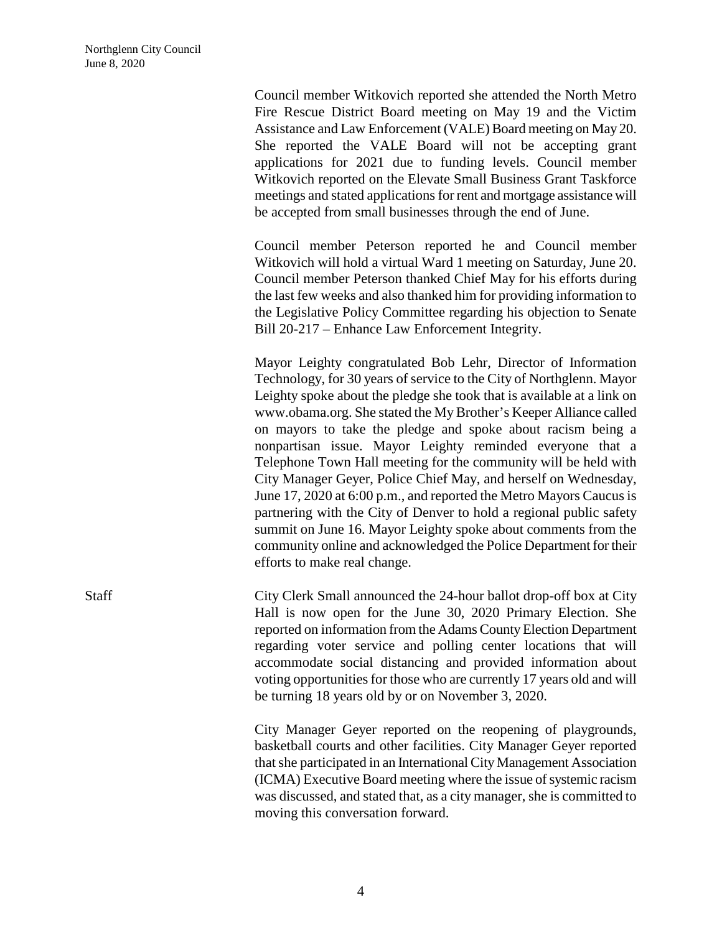Council member Witkovich reported she attended the North Metro Fire Rescue District Board meeting on May 19 and the Victim Assistance and Law Enforcement (VALE) Board meeting on May 20. She reported the VALE Board will not be accepting grant applications for 2021 due to funding levels. Council member Witkovich reported on the Elevate Small Business Grant Taskforce meetings and stated applications for rent and mortgage assistance will be accepted from small businesses through the end of June.

Council member Peterson reported he and Council member Witkovich will hold a virtual Ward 1 meeting on Saturday, June 20. Council member Peterson thanked Chief May for his efforts during the last few weeks and also thanked him for providing information to the Legislative Policy Committee regarding his objection to Senate Bill 20-217 – Enhance Law Enforcement Integrity.

Mayor Leighty congratulated Bob Lehr, Director of Information Technology, for 30 years of service to the City of Northglenn. Mayor Leighty spoke about the pledge she took that is available at a link on [www.obama.org.](http://www.obama.org/) She stated the My Brother's Keeper Alliance called on mayors to take the pledge and spoke about racism being a nonpartisan issue. Mayor Leighty reminded everyone that a Telephone Town Hall meeting for the community will be held with City Manager Geyer, Police Chief May, and herself on Wednesday, June 17, 2020 at 6:00 p.m., and reported the Metro Mayors Caucus is partnering with the City of Denver to hold a regional public safety summit on June 16. Mayor Leighty spoke about comments from the community online and acknowledged the Police Department for their efforts to make real change.

Staff City Clerk Small announced the 24-hour ballot drop-off box at City Hall is now open for the June 30, 2020 Primary Election. She reported on information from the Adams County Election Department regarding voter service and polling center locations that will accommodate social distancing and provided information about voting opportunities for those who are currently 17 years old and will be turning 18 years old by or on November 3, 2020.

> City Manager Geyer reported on the reopening of playgrounds, basketball courts and other facilities. City Manager Geyer reported that she participated in an International City Management Association (ICMA) Executive Board meeting where the issue of systemic racism was discussed, and stated that, as a city manager, she is committed to moving this conversation forward.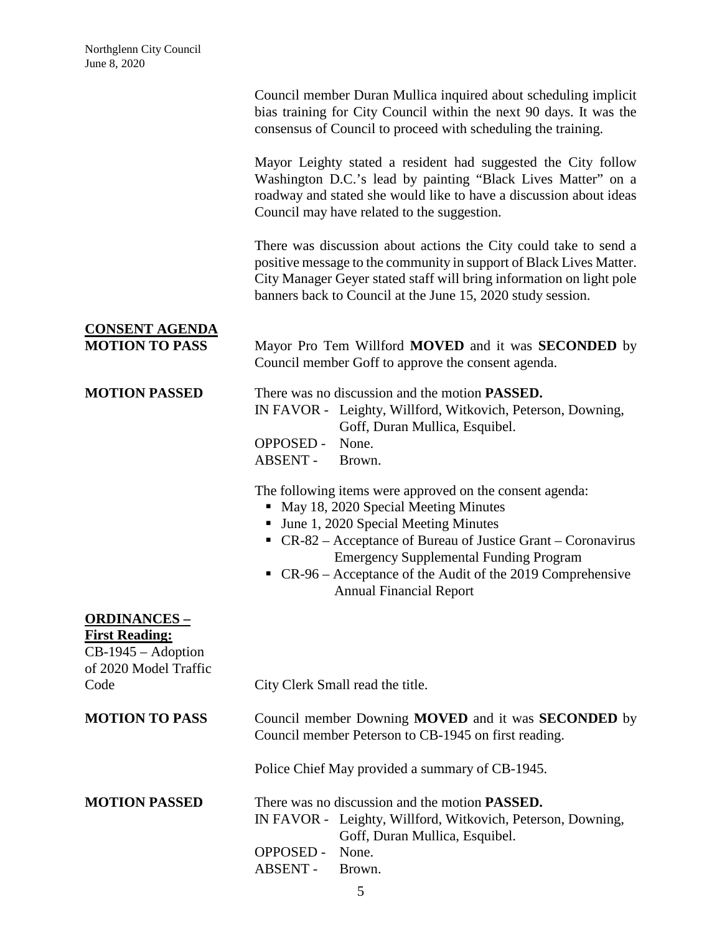|                                                                                                       | Council member Duran Mullica inquired about scheduling implicit<br>bias training for City Council within the next 90 days. It was the<br>consensus of Council to proceed with scheduling the training.                                                                                                                                                                 |
|-------------------------------------------------------------------------------------------------------|------------------------------------------------------------------------------------------------------------------------------------------------------------------------------------------------------------------------------------------------------------------------------------------------------------------------------------------------------------------------|
|                                                                                                       | Mayor Leighty stated a resident had suggested the City follow<br>Washington D.C.'s lead by painting "Black Lives Matter" on a<br>roadway and stated she would like to have a discussion about ideas<br>Council may have related to the suggestion.                                                                                                                     |
|                                                                                                       | There was discussion about actions the City could take to send a<br>positive message to the community in support of Black Lives Matter.<br>City Manager Geyer stated staff will bring information on light pole<br>banners back to Council at the June 15, 2020 study session.                                                                                         |
| <b>CONSENT AGENDA</b><br><b>MOTION TO PASS</b>                                                        | Mayor Pro Tem Willford MOVED and it was <b>SECONDED</b> by<br>Council member Goff to approve the consent agenda.                                                                                                                                                                                                                                                       |
| <b>MOTION PASSED</b>                                                                                  | There was no discussion and the motion <b>PASSED</b> .<br>IN FAVOR - Leighty, Willford, Witkovich, Peterson, Downing,<br>Goff, Duran Mullica, Esquibel.<br><b>OPPOSED -</b><br>None.<br>ABSENT -<br>Brown.                                                                                                                                                             |
|                                                                                                       | The following items were approved on the consent agenda:<br>May 18, 2020 Special Meeting Minutes<br>п<br>• June 1, 2020 Special Meeting Minutes<br>• $CR-82$ – Acceptance of Bureau of Justice Grant – Coronavirus<br><b>Emergency Supplemental Funding Program</b><br>• $CR-96$ – Acceptance of the Audit of the 2019 Comprehensive<br><b>Annual Financial Report</b> |
| <u> ORDINANCES – </u><br><b>First Reading:</b><br>CB-1945 - Adoption<br>of 2020 Model Traffic<br>Code | City Clerk Small read the title.                                                                                                                                                                                                                                                                                                                                       |
| <b>MOTION TO PASS</b>                                                                                 | Council member Downing MOVED and it was SECONDED by<br>Council member Peterson to CB-1945 on first reading.                                                                                                                                                                                                                                                            |
|                                                                                                       | Police Chief May provided a summary of CB-1945.                                                                                                                                                                                                                                                                                                                        |
| <b>MOTION PASSED</b>                                                                                  | There was no discussion and the motion <b>PASSED</b> .<br>IN FAVOR - Leighty, Willford, Witkovich, Peterson, Downing,<br>Goff, Duran Mullica, Esquibel.<br><b>OPPOSED -</b><br>None.<br><b>ABSENT -</b><br>Brown.                                                                                                                                                      |